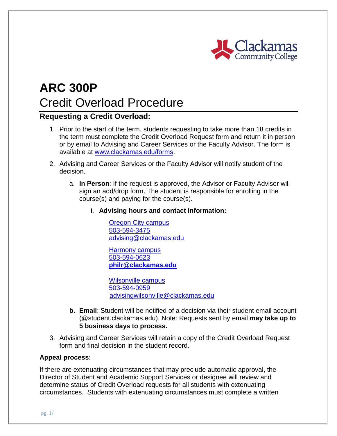

# **ARC 300P** Credit Overload Procedure

## **Requesting a Credit Overload:**

- 1. Prior to the start of the term, students requesting to take more than 18 credits in the term must complete the Credit Overload Request form and return it in person or by email to Advising and Career Services or the Faculty Advisor. The form is available at [www.clackamas.edu/forms.](http://www.clackamas.edu/forms)
- 2. Advising and Career Services or the Faculty Advisor will notify student of the decision.
	- a. **In Person**: If the request is approved, the Advisor or Faculty Advisor will sign an add/drop form. The student is responsible for enrolling in the course(s) and paying for the course(s).
		- i. **Advising hours and contact information:**

[Oregon City campus](http://cms-prod.clackamas.edu/docs/default-source/degrees-certificates/apprenticeship/map_oregoncity.pdf) [503-594-3475](tel:+15035943475) [advising@clackamas.edu](mailto:advising@clackamas.edu)

[Harmony campus](https://www.clackamas.edu/docs/default-source/maps/map_harmony.pdf) [503-594-0623](tel:+15035940623) **[philr@clackamas.edu](mailto:philr@clackamas.edu)**

[Wilsonville campus](https://www.clackamas.edu/docs/default-source/maps/map_wilsonville.pdf) [503-594-0959](tel:+15035940959) [advisingwilsonville@clackamas.edu](mailto:advisingwilsonville@clackamas.edu)

- **b. Email**: Student will be notified of a decision via their student email account (@student.clackamas.edu). Note: Requests sent by email **may take up to 5 business days to process.**
- 3. Advising and Career Services will retain a copy of the Credit Overload Request form and final decision in the student record.

#### **Appeal process**:

If there are extenuating circumstances that may preclude automatic approval, the Director of Student and Academic Support Services or designee will review and determine status of Credit Overload requests for all students with extenuating circumstances. Students with extenuating circumstances must complete a written